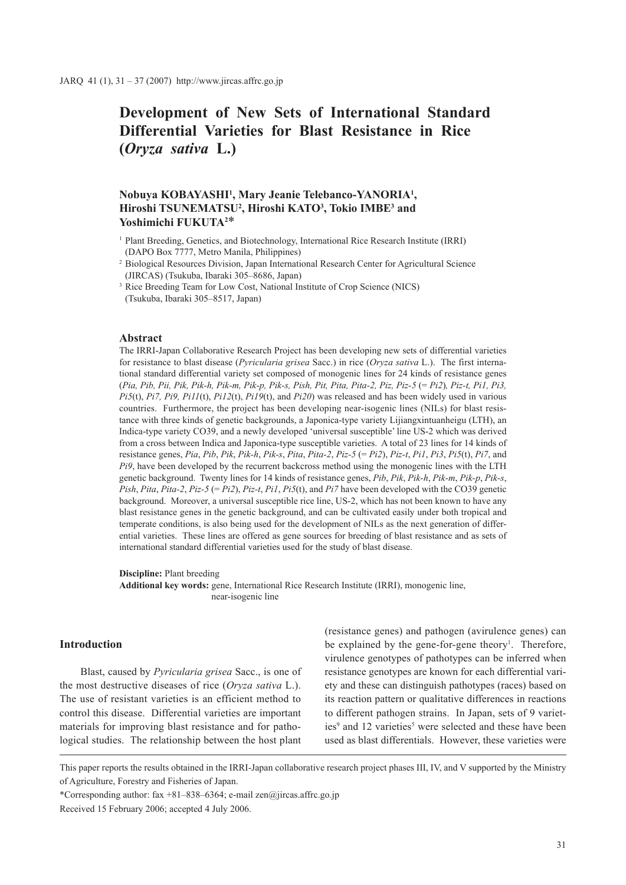# **Development of New Sets of International Standard Differential Varieties for Blast Resistance in Rice (***Oryza sativa* **L.)**

# **Nobuya KOBAYASHI1 , Mary Jeanie Telebanco-YANORIA1 , Hiroshi TSUNEMATSU2 , Hiroshi KATO3 , Tokio IMBE3 and Yoshimichi FUKUTA2** \*

- <sup>1</sup> Plant Breeding, Genetics, and Biotechnology, International Rice Research Institute (IRRI) (DAPO Box 7777, Metro Manila, Philippines)
- <sup>2</sup> Biological Resources Division, Japan International Research Center for Agricultural Science (JIRCAS) (Tsukuba, Ibaraki 305–8686, Japan)
- <sup>3</sup> Rice Breeding Team for Low Cost, National Institute of Crop Science (NICS) (Tsukuba, Ibaraki 305–8517, Japan)

### **Abstract**

The IRRI-Japan Collaborative Research Project has been developing new sets of differential varieties for resistance to blast disease (*Pyricularia grisea* Sacc.) in rice (*Oryza sativa* L.). The first international standard differential variety set composed of monogenic lines for 24 kinds of resistance genes (*Pia, Pib, Pii, Pik, Pik-h, Pik-m, Pik-p, Pik-s, Pish, Pit, Pita, Pita-2, Piz, Piz-5* (= *Pi2*)*, Piz-t, Pi1, Pi3, Pi5*(t), *Pi7, Pi9, Pi11*(t), *Pi12*(t), *Pi19*(t), and *Pi20*) was released and has been widely used in various countries. Furthermore, the project has been developing near-isogenic lines (NILs) for blast resistance with three kinds of genetic backgrounds, a Japonica-type variety Lijiangxintuanheigu (LTH), an Indica-type variety CO39, and a newly developed 'universal susceptible' line US-2 which was derived from a cross between Indica and Japonica-type susceptible varieties. A total of 23 lines for 14 kinds of resistance genes, *Pia*, *Pib*, *Pik*, *Pik-h*, *Pik-s*, *Pita*, *Pita-2*, *Piz-5* (= *Pi2*), *Piz-t*, *Pi1*, *Pi3*, *Pi5*(t), *Pi7*, and *Pi9*, have been developed by the recurrent backcross method using the monogenic lines with the LTH genetic background. Twenty lines for 14 kinds of resistance genes, *Pib*, *Pik*, *Pik-h*, *Pik-m*, *Pik-p*, *Pik-s*, *Pish*, *Pita*, *Pita-2*, *Piz-5* (= *Pi2*), *Piz-t*, *Pi1*, *Pi5*(t), and *Pi7* have been developed with the CO39 genetic background. Moreover, a universal susceptible rice line, US-2, which has not been known to have any blast resistance genes in the genetic background, and can be cultivated easily under both tropical and temperate conditions, is also being used for the development of NILs as the next generation of differential varieties. These lines are offered as gene sources for breeding of blast resistance and as sets of international standard differential varieties used for the study of blast disease.

**Discipline:** Plant breeding

**Additional key words:** gene, International Rice Research Institute (IRRI), monogenic line, near-isogenic line

## **Introduction**

Blast, caused by *Pyricularia grisea* Sacc., is one of the most destructive diseases of rice (*Oryza sativa* L.). The use of resistant varieties is an efficient method to control this disease. Differential varieties are important materials for improving blast resistance and for pathological studies. The relationship between the host plant (resistance genes) and pathogen (avirulence genes) can be explained by the gene-for-gene theory<sup>1</sup>. Therefore, virulence genotypes of pathotypes can be inferred when resistance genotypes are known for each differential variety and these can distinguish pathotypes (races) based on its reaction pattern or qualitative differences in reactions to different pathogen strains. In Japan, sets of 9 varieties<sup>9</sup> and 12 varieties<sup>5</sup> were selected and these have been used as blast differentials. However, these varieties were

\*Corresponding author: fax +81–838–6364; e-mail zen $\omega$ jircas.affrc.go.jp

Received 15 February 2006; accepted 4 July 2006.

This paper reports the results obtained in the IRRI-Japan collaborative research project phases III, IV, and V supported by the Ministry of Agriculture, Forestry and Fisheries of Japan.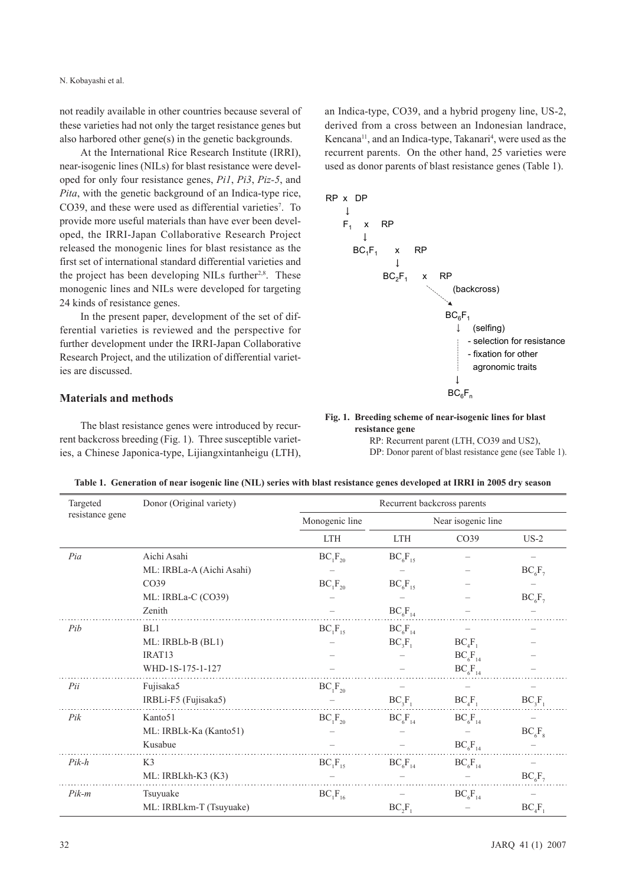not readily available in other countries because several of these varieties had not only the target resistance genes but also harbored other gene(s) in the genetic backgrounds.

At the International Rice Research Institute (IRRI), near-isogenic lines (NILs) for blast resistance were developed for only four resistance genes, *Pi1*, *Pi3*, *Piz-5*, and *Pita*, with the genetic background of an Indica-type rice, CO39, and these were used as differential varieties<sup>7</sup>. To provide more useful materials than have ever been developed, the IRRI-Japan Collaborative Research Project released the monogenic lines for blast resistance as the first set of international standard differential varieties and the project has been developing NILs further<sup>2,8</sup>. These monogenic lines and NILs were developed for targeting 24 kinds of resistance genes.

In the present paper, development of the set of differential varieties is reviewed and the perspective for further development under the IRRI-Japan Collaborative Research Project, and the utilization of differential varieties are discussed.

## **Materials and methods**

The blast resistance genes were introduced by recurrent backcross breeding (Fig. 1). Three susceptible varieties, a Chinese Japonica-type, Lijiangxintanheigu (LTH), an Indica-type, CO39, and a hybrid progeny line, US-2, derived from a cross between an Indonesian landrace, Kencana<sup>11</sup>, and an Indica-type, Takanari<sup>4</sup>, were used as the recurrent parents. On the other hand, 25 varieties were used as donor parents of blast resistance genes (Table 1).



#### **Fig. 1. Breeding scheme of near-isogenic lines for blast resistance gene**

RP: Recurrent parent (LTH, CO39 and US2), DP: Donor parent of blast resistance gene (see Table 1).

| Targeted        | Donor (Original variety)  |                | Recurrent backcross parents |                    |           |
|-----------------|---------------------------|----------------|-----------------------------|--------------------|-----------|
| resistance gene |                           | Monogenic line |                             | Near isogenic line |           |
|                 |                           | <b>LTH</b>     | <b>LTH</b>                  | CO <sub>39</sub>   | $US-2$    |
| Pia             | Aichi Asahi               | $BC_1F_{20}$   | $BC_6F_{15}$                |                    |           |
|                 | ML: IRBLa-A (Aichi Asahi) |                |                             |                    | $BC_6F_7$ |
|                 | CO39                      | $BC_1F_{20}$   | $BC_6F_{15}$                |                    |           |
|                 | ML: IRBLa-C (CO39)        |                |                             |                    | $BC_6F_7$ |
|                 | Zenith                    |                | $BC_6F_{14}$                |                    |           |
| Pib             | BL1                       | $BC_1F_{15}$   | $BC_6F_{14}$                |                    |           |
|                 | ML: IRBLb-B (BL1)         |                | $BC_3F_1$                   | $BC_4F_1$          |           |
|                 | IRAT13                    |                |                             | $BC_6F_{14}$       |           |
|                 | WHD-1S-175-1-127          |                |                             | $BC_6F_{14}$       |           |
| Pii             | Fujisaka5                 | $BC_1F_{20}$   |                             |                    |           |
|                 | IRBLi-F5 (Fujisaka5)      |                | $BC_3F_1$                   | $BC_4F_1$          | $BC_3F_1$ |
| Pik             | Kanto 51                  | $BC_1F_{20}$   | $BC_6F_{14}$                | $BC_6F_{14}$       |           |
|                 | ML: IRBLk-Ka (Kanto51)    |                |                             |                    | $BC_6F_8$ |
|                 | Kusabue                   |                |                             | $BC_6F_{14}$       |           |
| $Pik-h$         | K <sub>3</sub>            | $BC_1F_{15}$   | $BC_6F_{14}$                | $BC_6F_{14}$       |           |
|                 | ML: IRBLkh-K3 (K3)        |                |                             |                    | $BC_6F_7$ |
| $Pik-m$         | Tsuyuake                  | $BC_1F_{16}$   |                             | $BC_6F_{14}$       |           |
|                 | ML: IRBLkm-T (Tsuyuake)   |                | $BC_2F_1$                   |                    | $BC_4F$   |

**Table 1. Generation of near isogenic line (NIL) series with blast resistance genes developed at IRRI in 2005 dry season**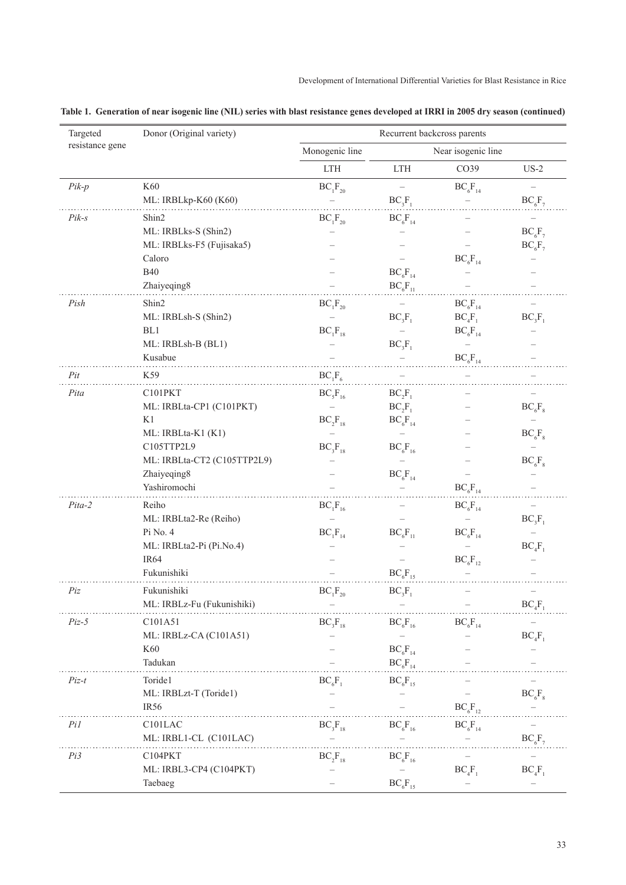| resistance gene<br>Monogenic line<br>Near isogenic line<br>$\mathop{\rm LTH}\nolimits$<br>CO39<br>$US-2$<br><b>LTH</b><br>K60<br>$Pik-p$<br>$BC_1F_{20}$<br>$BC_6F_{14}$<br>$\qquad \qquad -$<br>ML: IRBLkp-K60 (K60)<br>$BC_3F_1$<br>$BC_6F_7$<br>$Pik-s$<br>Shin2<br>$BC_6F_{14}$<br>$BC_1F_{20}$<br>ML: IRBLks-S (Shin2)<br>$BC_6F_7$<br>ML: IRBLks-F5 (Fujisaka5)<br>$BC_6F_7$<br>Caloro<br>$BC_6F_{14}$<br><b>B40</b><br>$BC_6F_{14}$<br>Zhaiyeqing8<br>$BC_6F_{11}$<br>Pish<br>Shin2<br>$BC_1F_{20}$<br>$BC_6F_{14}$<br>ML: IRBLsh-S (Shin2)<br>$BC_3F_1$<br>$BC_4F_1$<br>$BC_3F_1$<br>BL1<br>$BC_1F_{18}$<br>$BC_6F_{14}$<br>ML: IRBLsh-B (BL1)<br>$BC_3F_1$<br>$\overline{\phantom{0}}$<br>Kusabue<br>$BC_6F_{14}$<br>$BC_1F_6$<br>Pit<br>K59<br>$BC_5F_{16}$<br>Pita<br>C101PKT<br>$BC_2F_1$<br>ML: IRBLta-CP1 (C101PKT)<br>$BC_2F_1$<br>$BC_6F_8$<br>K1<br>$BC_2F_{18}$<br>$BC_6F_{14}$<br>ML: IRBLta-K1 (K1)<br>$BC_6F_8$<br>C105TTP2L9<br>$BC_3F_{18}$<br>$BC_6F_{16}$<br>ML: IRBLta-CT2 (C105TTP2L9)<br>$BC_6F_8$<br>Zhaiyeqing8<br>$BC_6F_{14}$<br>Yashiromochi<br>$BC_6F_{14}$<br>Reiho<br>Pita-2<br>$BC_1F_{16}$<br>$BC_6F_{14}$<br>ML: IRBLta2-Re (Reiho)<br>$BC_3F_1$<br>Pi No. 4<br>$BC_1F_{14}$<br>$BC_6F_{11}$<br>$BC_6F_{14}$<br>ML: IRBLta2-Pi (Pi.No.4)<br>$BC_4F_1$<br>IR <sub>64</sub><br>$BC_6F_{12}$<br>Fukunishiki<br>$BC_6F_{15}$<br>Fukunishiki<br>$\mathrm{BC}_{1}\mathrm{F}_{20}$<br>$BC_3F_1$<br>Piz<br>ML: IRBLz-Fu (Fukunishiki)<br>$BC_4F_1$<br>$BC_3F_{18}$<br>$Piz-5$<br>C101A51<br>$\mathrm{BC}_6\mathrm{F}_{16}$<br>$BC_6F_{14}$<br>ML: IRBLz-CA (C101A51)<br>$BC_4F_1$<br>K60<br>$BC_6F_{14}$<br>Tadukan<br>$BC_6F_{14}$<br>Toride1<br>$Piz-t$<br>$BC_6F_1$<br>$BC_6F_{15}$<br>ML: IRBLzt-T (Toride1)<br>$BC_6F_8$<br>IR <sub>56</sub><br>$BC_6F_{12}$<br>Pil<br>C101LAC<br>$BC_3F_{18}$<br>$BC_6F_{16}$<br>$BC_6F_{14}$<br>$BC_{6}F_{7}$<br>ML: IRBL1-CL (C101LAC)<br>Pi3<br>C104PKT<br>$BC_2F_{18}$<br>$BC_6F_{16}$<br>ML: IRBL3-CP4 (C104PKT)<br>$BC_4F_1$<br>$BC_4F_1$<br>Taebaeg<br>$BC_6F_{15}$ | Targeted | Donor (Original variety) | Recurrent backcross parents |  |
|-------------------------------------------------------------------------------------------------------------------------------------------------------------------------------------------------------------------------------------------------------------------------------------------------------------------------------------------------------------------------------------------------------------------------------------------------------------------------------------------------------------------------------------------------------------------------------------------------------------------------------------------------------------------------------------------------------------------------------------------------------------------------------------------------------------------------------------------------------------------------------------------------------------------------------------------------------------------------------------------------------------------------------------------------------------------------------------------------------------------------------------------------------------------------------------------------------------------------------------------------------------------------------------------------------------------------------------------------------------------------------------------------------------------------------------------------------------------------------------------------------------------------------------------------------------------------------------------------------------------------------------------------------------------------------------------------------------------------------------------------------------------------------------------------------------------------------------------------------------------------------------------------------------------------------------------------------------------------------------------------------------------------------------------------|----------|--------------------------|-----------------------------|--|
|                                                                                                                                                                                                                                                                                                                                                                                                                                                                                                                                                                                                                                                                                                                                                                                                                                                                                                                                                                                                                                                                                                                                                                                                                                                                                                                                                                                                                                                                                                                                                                                                                                                                                                                                                                                                                                                                                                                                                                                                                                                 |          |                          |                             |  |
|                                                                                                                                                                                                                                                                                                                                                                                                                                                                                                                                                                                                                                                                                                                                                                                                                                                                                                                                                                                                                                                                                                                                                                                                                                                                                                                                                                                                                                                                                                                                                                                                                                                                                                                                                                                                                                                                                                                                                                                                                                                 |          |                          |                             |  |
|                                                                                                                                                                                                                                                                                                                                                                                                                                                                                                                                                                                                                                                                                                                                                                                                                                                                                                                                                                                                                                                                                                                                                                                                                                                                                                                                                                                                                                                                                                                                                                                                                                                                                                                                                                                                                                                                                                                                                                                                                                                 |          |                          |                             |  |
|                                                                                                                                                                                                                                                                                                                                                                                                                                                                                                                                                                                                                                                                                                                                                                                                                                                                                                                                                                                                                                                                                                                                                                                                                                                                                                                                                                                                                                                                                                                                                                                                                                                                                                                                                                                                                                                                                                                                                                                                                                                 |          |                          |                             |  |
|                                                                                                                                                                                                                                                                                                                                                                                                                                                                                                                                                                                                                                                                                                                                                                                                                                                                                                                                                                                                                                                                                                                                                                                                                                                                                                                                                                                                                                                                                                                                                                                                                                                                                                                                                                                                                                                                                                                                                                                                                                                 |          |                          |                             |  |
|                                                                                                                                                                                                                                                                                                                                                                                                                                                                                                                                                                                                                                                                                                                                                                                                                                                                                                                                                                                                                                                                                                                                                                                                                                                                                                                                                                                                                                                                                                                                                                                                                                                                                                                                                                                                                                                                                                                                                                                                                                                 |          |                          |                             |  |
|                                                                                                                                                                                                                                                                                                                                                                                                                                                                                                                                                                                                                                                                                                                                                                                                                                                                                                                                                                                                                                                                                                                                                                                                                                                                                                                                                                                                                                                                                                                                                                                                                                                                                                                                                                                                                                                                                                                                                                                                                                                 |          |                          |                             |  |
|                                                                                                                                                                                                                                                                                                                                                                                                                                                                                                                                                                                                                                                                                                                                                                                                                                                                                                                                                                                                                                                                                                                                                                                                                                                                                                                                                                                                                                                                                                                                                                                                                                                                                                                                                                                                                                                                                                                                                                                                                                                 |          |                          |                             |  |
|                                                                                                                                                                                                                                                                                                                                                                                                                                                                                                                                                                                                                                                                                                                                                                                                                                                                                                                                                                                                                                                                                                                                                                                                                                                                                                                                                                                                                                                                                                                                                                                                                                                                                                                                                                                                                                                                                                                                                                                                                                                 |          |                          |                             |  |
|                                                                                                                                                                                                                                                                                                                                                                                                                                                                                                                                                                                                                                                                                                                                                                                                                                                                                                                                                                                                                                                                                                                                                                                                                                                                                                                                                                                                                                                                                                                                                                                                                                                                                                                                                                                                                                                                                                                                                                                                                                                 |          |                          |                             |  |
|                                                                                                                                                                                                                                                                                                                                                                                                                                                                                                                                                                                                                                                                                                                                                                                                                                                                                                                                                                                                                                                                                                                                                                                                                                                                                                                                                                                                                                                                                                                                                                                                                                                                                                                                                                                                                                                                                                                                                                                                                                                 |          |                          |                             |  |
|                                                                                                                                                                                                                                                                                                                                                                                                                                                                                                                                                                                                                                                                                                                                                                                                                                                                                                                                                                                                                                                                                                                                                                                                                                                                                                                                                                                                                                                                                                                                                                                                                                                                                                                                                                                                                                                                                                                                                                                                                                                 |          |                          |                             |  |
|                                                                                                                                                                                                                                                                                                                                                                                                                                                                                                                                                                                                                                                                                                                                                                                                                                                                                                                                                                                                                                                                                                                                                                                                                                                                                                                                                                                                                                                                                                                                                                                                                                                                                                                                                                                                                                                                                                                                                                                                                                                 |          |                          |                             |  |
|                                                                                                                                                                                                                                                                                                                                                                                                                                                                                                                                                                                                                                                                                                                                                                                                                                                                                                                                                                                                                                                                                                                                                                                                                                                                                                                                                                                                                                                                                                                                                                                                                                                                                                                                                                                                                                                                                                                                                                                                                                                 |          |                          |                             |  |
|                                                                                                                                                                                                                                                                                                                                                                                                                                                                                                                                                                                                                                                                                                                                                                                                                                                                                                                                                                                                                                                                                                                                                                                                                                                                                                                                                                                                                                                                                                                                                                                                                                                                                                                                                                                                                                                                                                                                                                                                                                                 |          |                          |                             |  |
|                                                                                                                                                                                                                                                                                                                                                                                                                                                                                                                                                                                                                                                                                                                                                                                                                                                                                                                                                                                                                                                                                                                                                                                                                                                                                                                                                                                                                                                                                                                                                                                                                                                                                                                                                                                                                                                                                                                                                                                                                                                 |          |                          |                             |  |
|                                                                                                                                                                                                                                                                                                                                                                                                                                                                                                                                                                                                                                                                                                                                                                                                                                                                                                                                                                                                                                                                                                                                                                                                                                                                                                                                                                                                                                                                                                                                                                                                                                                                                                                                                                                                                                                                                                                                                                                                                                                 |          |                          |                             |  |
|                                                                                                                                                                                                                                                                                                                                                                                                                                                                                                                                                                                                                                                                                                                                                                                                                                                                                                                                                                                                                                                                                                                                                                                                                                                                                                                                                                                                                                                                                                                                                                                                                                                                                                                                                                                                                                                                                                                                                                                                                                                 |          |                          |                             |  |
|                                                                                                                                                                                                                                                                                                                                                                                                                                                                                                                                                                                                                                                                                                                                                                                                                                                                                                                                                                                                                                                                                                                                                                                                                                                                                                                                                                                                                                                                                                                                                                                                                                                                                                                                                                                                                                                                                                                                                                                                                                                 |          |                          |                             |  |
|                                                                                                                                                                                                                                                                                                                                                                                                                                                                                                                                                                                                                                                                                                                                                                                                                                                                                                                                                                                                                                                                                                                                                                                                                                                                                                                                                                                                                                                                                                                                                                                                                                                                                                                                                                                                                                                                                                                                                                                                                                                 |          |                          |                             |  |
|                                                                                                                                                                                                                                                                                                                                                                                                                                                                                                                                                                                                                                                                                                                                                                                                                                                                                                                                                                                                                                                                                                                                                                                                                                                                                                                                                                                                                                                                                                                                                                                                                                                                                                                                                                                                                                                                                                                                                                                                                                                 |          |                          |                             |  |
|                                                                                                                                                                                                                                                                                                                                                                                                                                                                                                                                                                                                                                                                                                                                                                                                                                                                                                                                                                                                                                                                                                                                                                                                                                                                                                                                                                                                                                                                                                                                                                                                                                                                                                                                                                                                                                                                                                                                                                                                                                                 |          |                          |                             |  |
|                                                                                                                                                                                                                                                                                                                                                                                                                                                                                                                                                                                                                                                                                                                                                                                                                                                                                                                                                                                                                                                                                                                                                                                                                                                                                                                                                                                                                                                                                                                                                                                                                                                                                                                                                                                                                                                                                                                                                                                                                                                 |          |                          |                             |  |
|                                                                                                                                                                                                                                                                                                                                                                                                                                                                                                                                                                                                                                                                                                                                                                                                                                                                                                                                                                                                                                                                                                                                                                                                                                                                                                                                                                                                                                                                                                                                                                                                                                                                                                                                                                                                                                                                                                                                                                                                                                                 |          |                          |                             |  |
|                                                                                                                                                                                                                                                                                                                                                                                                                                                                                                                                                                                                                                                                                                                                                                                                                                                                                                                                                                                                                                                                                                                                                                                                                                                                                                                                                                                                                                                                                                                                                                                                                                                                                                                                                                                                                                                                                                                                                                                                                                                 |          |                          |                             |  |
|                                                                                                                                                                                                                                                                                                                                                                                                                                                                                                                                                                                                                                                                                                                                                                                                                                                                                                                                                                                                                                                                                                                                                                                                                                                                                                                                                                                                                                                                                                                                                                                                                                                                                                                                                                                                                                                                                                                                                                                                                                                 |          |                          |                             |  |
|                                                                                                                                                                                                                                                                                                                                                                                                                                                                                                                                                                                                                                                                                                                                                                                                                                                                                                                                                                                                                                                                                                                                                                                                                                                                                                                                                                                                                                                                                                                                                                                                                                                                                                                                                                                                                                                                                                                                                                                                                                                 |          |                          |                             |  |
|                                                                                                                                                                                                                                                                                                                                                                                                                                                                                                                                                                                                                                                                                                                                                                                                                                                                                                                                                                                                                                                                                                                                                                                                                                                                                                                                                                                                                                                                                                                                                                                                                                                                                                                                                                                                                                                                                                                                                                                                                                                 |          |                          |                             |  |
|                                                                                                                                                                                                                                                                                                                                                                                                                                                                                                                                                                                                                                                                                                                                                                                                                                                                                                                                                                                                                                                                                                                                                                                                                                                                                                                                                                                                                                                                                                                                                                                                                                                                                                                                                                                                                                                                                                                                                                                                                                                 |          |                          |                             |  |
|                                                                                                                                                                                                                                                                                                                                                                                                                                                                                                                                                                                                                                                                                                                                                                                                                                                                                                                                                                                                                                                                                                                                                                                                                                                                                                                                                                                                                                                                                                                                                                                                                                                                                                                                                                                                                                                                                                                                                                                                                                                 |          |                          |                             |  |
|                                                                                                                                                                                                                                                                                                                                                                                                                                                                                                                                                                                                                                                                                                                                                                                                                                                                                                                                                                                                                                                                                                                                                                                                                                                                                                                                                                                                                                                                                                                                                                                                                                                                                                                                                                                                                                                                                                                                                                                                                                                 |          |                          |                             |  |
|                                                                                                                                                                                                                                                                                                                                                                                                                                                                                                                                                                                                                                                                                                                                                                                                                                                                                                                                                                                                                                                                                                                                                                                                                                                                                                                                                                                                                                                                                                                                                                                                                                                                                                                                                                                                                                                                                                                                                                                                                                                 |          |                          |                             |  |
|                                                                                                                                                                                                                                                                                                                                                                                                                                                                                                                                                                                                                                                                                                                                                                                                                                                                                                                                                                                                                                                                                                                                                                                                                                                                                                                                                                                                                                                                                                                                                                                                                                                                                                                                                                                                                                                                                                                                                                                                                                                 |          |                          |                             |  |
|                                                                                                                                                                                                                                                                                                                                                                                                                                                                                                                                                                                                                                                                                                                                                                                                                                                                                                                                                                                                                                                                                                                                                                                                                                                                                                                                                                                                                                                                                                                                                                                                                                                                                                                                                                                                                                                                                                                                                                                                                                                 |          |                          |                             |  |
|                                                                                                                                                                                                                                                                                                                                                                                                                                                                                                                                                                                                                                                                                                                                                                                                                                                                                                                                                                                                                                                                                                                                                                                                                                                                                                                                                                                                                                                                                                                                                                                                                                                                                                                                                                                                                                                                                                                                                                                                                                                 |          |                          |                             |  |
|                                                                                                                                                                                                                                                                                                                                                                                                                                                                                                                                                                                                                                                                                                                                                                                                                                                                                                                                                                                                                                                                                                                                                                                                                                                                                                                                                                                                                                                                                                                                                                                                                                                                                                                                                                                                                                                                                                                                                                                                                                                 |          |                          |                             |  |
|                                                                                                                                                                                                                                                                                                                                                                                                                                                                                                                                                                                                                                                                                                                                                                                                                                                                                                                                                                                                                                                                                                                                                                                                                                                                                                                                                                                                                                                                                                                                                                                                                                                                                                                                                                                                                                                                                                                                                                                                                                                 |          |                          |                             |  |
|                                                                                                                                                                                                                                                                                                                                                                                                                                                                                                                                                                                                                                                                                                                                                                                                                                                                                                                                                                                                                                                                                                                                                                                                                                                                                                                                                                                                                                                                                                                                                                                                                                                                                                                                                                                                                                                                                                                                                                                                                                                 |          |                          |                             |  |
|                                                                                                                                                                                                                                                                                                                                                                                                                                                                                                                                                                                                                                                                                                                                                                                                                                                                                                                                                                                                                                                                                                                                                                                                                                                                                                                                                                                                                                                                                                                                                                                                                                                                                                                                                                                                                                                                                                                                                                                                                                                 |          |                          |                             |  |
|                                                                                                                                                                                                                                                                                                                                                                                                                                                                                                                                                                                                                                                                                                                                                                                                                                                                                                                                                                                                                                                                                                                                                                                                                                                                                                                                                                                                                                                                                                                                                                                                                                                                                                                                                                                                                                                                                                                                                                                                                                                 |          |                          |                             |  |
|                                                                                                                                                                                                                                                                                                                                                                                                                                                                                                                                                                                                                                                                                                                                                                                                                                                                                                                                                                                                                                                                                                                                                                                                                                                                                                                                                                                                                                                                                                                                                                                                                                                                                                                                                                                                                                                                                                                                                                                                                                                 |          |                          |                             |  |
|                                                                                                                                                                                                                                                                                                                                                                                                                                                                                                                                                                                                                                                                                                                                                                                                                                                                                                                                                                                                                                                                                                                                                                                                                                                                                                                                                                                                                                                                                                                                                                                                                                                                                                                                                                                                                                                                                                                                                                                                                                                 |          |                          |                             |  |
|                                                                                                                                                                                                                                                                                                                                                                                                                                                                                                                                                                                                                                                                                                                                                                                                                                                                                                                                                                                                                                                                                                                                                                                                                                                                                                                                                                                                                                                                                                                                                                                                                                                                                                                                                                                                                                                                                                                                                                                                                                                 |          |                          |                             |  |

**Table 1. Generation of near isogenic line (NIL) series with blast resistance genes developed at IRRI in 2005 dry season (continued)**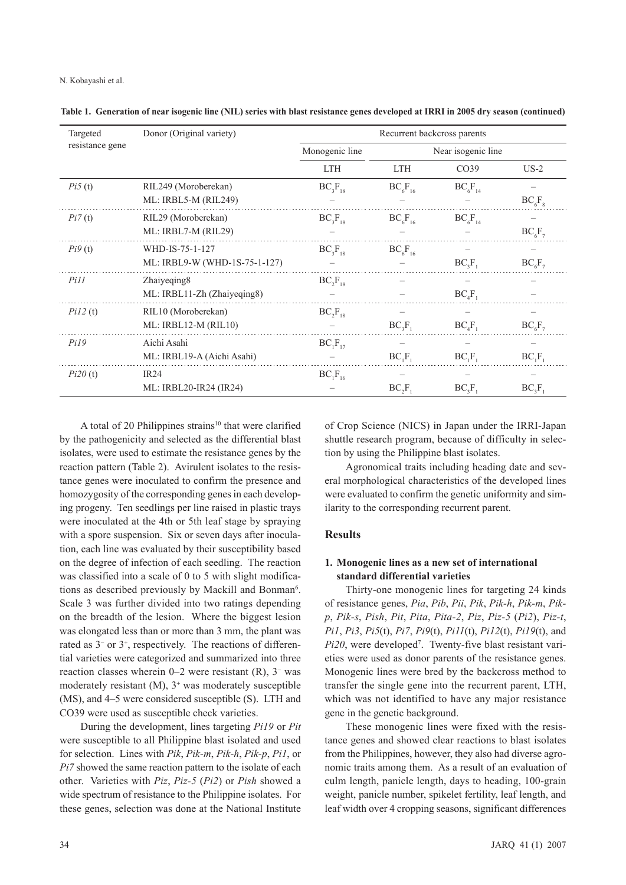| Targeted        | Donor (Original variety)      |                | Recurrent backcross parents    |                    |           |
|-----------------|-------------------------------|----------------|--------------------------------|--------------------|-----------|
| resistance gene |                               | Monogenic line |                                | Near isogenic line |           |
|                 |                               | <b>LTH</b>     | <b>LTH</b>                     | CO <sub>39</sub>   | $US-2$    |
| Pi5(t)          | RIL249 (Moroberekan)          | $BC_3F_{18}$   | $BC_6F_{16}$                   | $BC_6F_{14}$       |           |
|                 | ML: IRBL5-M (RIL249)          |                |                                |                    | $BC_6F_8$ |
| Pi7(t)          | RIL29 (Moroberekan)           | $BC_3F_{18}$   | $BC_6F_{16}$                   | $BC_6F_{14}$       |           |
|                 | ML: IRBL7-M (RIL29)           |                |                                |                    | $BC_6F_7$ |
| Pi9(t)          | WHD-IS-75-1-127               | $BC_3F_{18}$   | $BC_6F_{16}$                   |                    |           |
|                 | ML: IRBL9-W (WHD-1S-75-1-127) |                |                                | $BC_3F_1$          | $BC_6F_7$ |
| Pi11            | Zhaiyeqing8                   | $BC_2F_{18}$   |                                |                    |           |
|                 | ML: IRBL11-Zh (Zhaiyeqing8)   |                |                                | $BC_4F_1$          |           |
| Pi12(t)         | RIL10 (Moroberekan)           | $BC_2F_{18}$   |                                |                    |           |
|                 | ML: IRBL12-M (RIL10)          |                | $BC_3F_1$                      | $BC_4F_1$          | $BC_6F_7$ |
| Pi19            | Aichi Asahi                   | $BC_1F_{17}$   |                                |                    |           |
|                 | ML: IRBL19-A (Aichi Asahi)    |                | $BC_1F_1$                      | $BC_1F_1$          | $BC_1F_1$ |
| Pi20(t)         | IR24                          | $BC_1F_{16}$   |                                |                    |           |
|                 | ML: IRBL20-IR24 (IR24)        |                | BC <sub>2</sub> F <sub>1</sub> | $BC_3F_1$          | $BC_3F_1$ |

**Table 1. Generation of near isogenic line (NIL) series with blast resistance genes developed at IRRI in 2005 dry season (continued)**

A total of 20 Philippines strains<sup>10</sup> that were clarified by the pathogenicity and selected as the differential blast isolates, were used to estimate the resistance genes by the reaction pattern (Table 2). Avirulent isolates to the resistance genes were inoculated to confirm the presence and homozygosity of the corresponding genes in each developing progeny. Ten seedlings per line raised in plastic trays were inoculated at the 4th or 5th leaf stage by spraying with a spore suspension. Six or seven days after inoculation, each line was evaluated by their susceptibility based on the degree of infection of each seedling. The reaction was classified into a scale of 0 to 5 with slight modifications as described previously by Mackill and Bonman<sup>6</sup>. Scale 3 was further divided into two ratings depending on the breadth of the lesion. Where the biggest lesion was elongated less than or more than 3 mm, the plant was rated as  $3<sup>-</sup>$  or  $3<sup>+</sup>$ , respectively. The reactions of differential varieties were categorized and summarized into three reaction classes wherein  $0-2$  were resistant  $(R)$ ,  $3<sup>-</sup>$  was moderately resistant  $(M)$ ,  $3$ <sup>+</sup> was moderately susceptible (MS), and 4–5 were considered susceptible (S). LTH and CO39 were used as susceptible check varieties.

During the development, lines targeting *Pi19* or *Pit* were susceptible to all Philippine blast isolated and used for selection. Lines with *Pik*, *Pik-m*, *Pik-h*, *Pik-p*, *Pi1*, or *Pi7* showed the same reaction pattern to the isolate of each other. Varieties with *Piz*, *Piz-5* (*Pi2*) or *Pish* showed a wide spectrum of resistance to the Philippine isolates. For these genes, selection was done at the National Institute

of Crop Science (NICS) in Japan under the IRRI-Japan shuttle research program, because of difficulty in selection by using the Philippine blast isolates.

Agronomical traits including heading date and several morphological characteristics of the developed lines were evaluated to confirm the genetic uniformity and similarity to the corresponding recurrent parent.

# **Results**

## **1. Monogenic lines as a new set of international standard differential varieties**

Thirty-one monogenic lines for targeting 24 kinds of resistance genes, *Pia*, *Pib*, *Pii*, *Pik*, *Pik-h*, *Pik-m*, *Pikp*, *Pik-s*, *Pish*, *Pit*, *Pita*, *Pita-2*, *Piz*, *Piz-5* (*Pi2*), *Piz-t*, *Pi1*, *Pi3*, *Pi5*(t), *Pi7*, *Pi9*(t), *Pi11*(t), *Pi12*(t), *Pi19*(t), and Pi20, were developed<sup>7</sup>. Twenty-five blast resistant varieties were used as donor parents of the resistance genes. Monogenic lines were bred by the backcross method to transfer the single gene into the recurrent parent, LTH, which was not identified to have any major resistance gene in the genetic background.

These monogenic lines were fixed with the resistance genes and showed clear reactions to blast isolates from the Philippines, however, they also had diverse agronomic traits among them. As a result of an evaluation of culm length, panicle length, days to heading, 100-grain weight, panicle number, spikelet fertility, leaf length, and leaf width over 4 cropping seasons, significant differences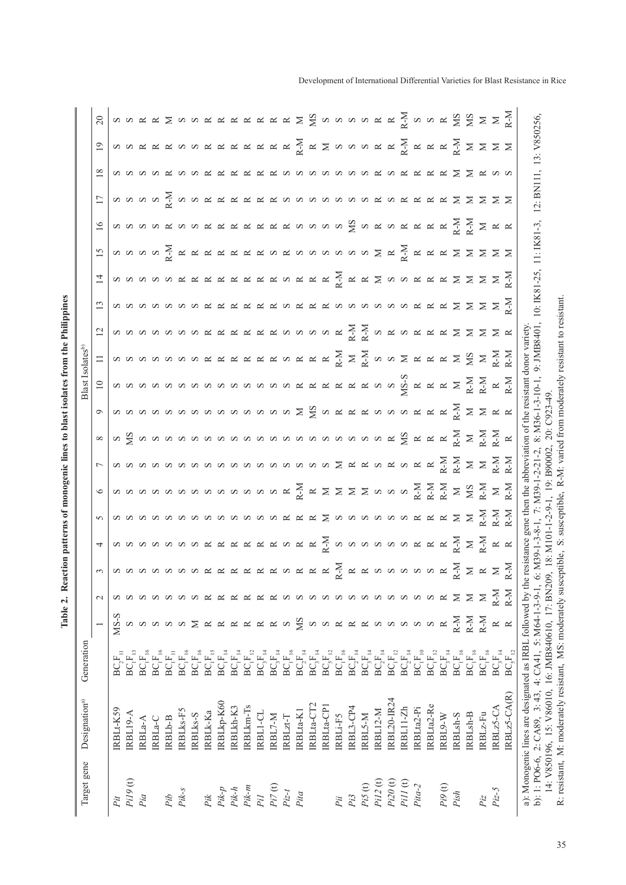| Target gene                   | Designation <sup>a)</sup>                                                                                                 | Generation                                                         |                     |                        |                                                          |                                                                                                                    |                                                                     |                             |                |                                                                                                                                                                                                                                                                                                                                                                                                                                                                                           |                                                                                 | Blast Isolates <sup>b)</sup>                                                                                                                                                                                                                                                                |                                                                                                                         |                                                                                                                   |                                                                                                                   |              |                |                          |                                  |                                                                                                                                                                                                                                                                                                                                                                                                                        |  |
|-------------------------------|---------------------------------------------------------------------------------------------------------------------------|--------------------------------------------------------------------|---------------------|------------------------|----------------------------------------------------------|--------------------------------------------------------------------------------------------------------------------|---------------------------------------------------------------------|-----------------------------|----------------|-------------------------------------------------------------------------------------------------------------------------------------------------------------------------------------------------------------------------------------------------------------------------------------------------------------------------------------------------------------------------------------------------------------------------------------------------------------------------------------------|---------------------------------------------------------------------------------|---------------------------------------------------------------------------------------------------------------------------------------------------------------------------------------------------------------------------------------------------------------------------------------------|-------------------------------------------------------------------------------------------------------------------------|-------------------------------------------------------------------------------------------------------------------|-------------------------------------------------------------------------------------------------------------------|--------------|----------------|--------------------------|----------------------------------|------------------------------------------------------------------------------------------------------------------------------------------------------------------------------------------------------------------------------------------------------------------------------------------------------------------------------------------------------------------------------------------------------------------------|--|
|                               |                                                                                                                           |                                                                    |                     | $\mathbf{\sim}$        |                                                          |                                                                                                                    | $\sim$                                                              |                             |                |                                                                                                                                                                                                                                                                                                                                                                                                                                                                                           |                                                                                 |                                                                                                                                                                                                                                                                                             |                                                                                                                         |                                                                                                                   |                                                                                                                   |              | $\frac{6}{16}$ | $\overline{\phantom{0}}$ | $18\,$                           |                                                                                                                                                                                                                                                                                                                                                                                                                        |  |
|                               | IRBLt-K59                                                                                                                 |                                                                    | $NSS-S$             |                        | $\begin{array}{c}\n 0 \\ 0 \\ 0 \\ 0 \\ 0\n \end{array}$ | $\frac{1}{4}$ a a a a a a a k k k k k k a k k $\frac{1}{2}$ a a a a a k k k $\frac{1}{2}$ $\geq$ $\frac{1}{2}$ k k |                                                                     |                             |                | $\infty \text{ is given by } \frac{1}{2} \times \frac{1}{2} \times \frac{1}{2} \times \frac{1}{2} \times \frac{1}{2} \times \frac{1}{2} \times \frac{1}{2} \times \frac{1}{2} \times \frac{1}{2} \times \frac{1}{2} \times \frac{1}{2} \times \frac{1}{2} \times \frac{1}{2} \times \frac{1}{2} \times \frac{1}{2} \times \frac{1}{2} \times \frac{1}{2} \times \frac{1}{2} \times \frac{1}{2} \times \frac{1}{2} \times \frac{1}{2} \times \frac{1}{2} \times \frac{1}{2} \times \frac{$ |                                                                                 | $\frac{1}{2}$ a a a a a a a a a a a a a a a $\frac{1}{2}$ a $\frac{1}{2}$ a $\frac{1}{2}$ a $\frac{1}{2}$ a $\frac{1}{2}$ a $\frac{1}{2}$ a $\frac{1}{2}$ a $\frac{1}{2}$ a $\frac{1}{2}$ a $\frac{1}{2}$ a $\frac{1}{2}$ a $\frac{1}{2}$ a $\frac{1}{2}$ a $\frac{1}{2}$ a $\frac{1}{2}$ a | $\Xi$   ທ ທ ທ ທ ທ ທ ທ ຕ ຕ ຕ ຕ ຕ ຕ ຕ ຕ ຕ ຕ $\Xi$ $\gtrsim$ $\Xi$ ທ ທ $\gtrsim$ $\Xi$ ຕ ຕ ຕ $\Xi$ $\Xi$ $\Xi$ $\Xi$ $\Xi$ | $\mathbb{C}$   w w w w w w w x x x x x x w w w w x $\frac{1}{N}$ $\frac{1}{N}$ w x w x x x $\geq$ $\geq$ $\geq$ x | $\frac{1}{2}$   w w w w w w w w k k k k k k w k k k w w w w w w w w k k $\geq$ $\geq$ $\geq$ $\geq$ $\geq$ $\geq$ | $\vec{z}$    |                |                          | αααααααααααααααααααααααααααΣΣααα | $\mathbb{E}[\mathbb{E}[\mathbb{E}[\mathbb{E}[\mathbb{E}[\mathbb{E}[\mathbb{E}[\mathbb{E}[\mathbb{E}[\mathbb{E}[\mathbb{E}[\mathbb{E}[\mathbb{E}[\mathbb{E}[\mathbb{E}[\mathbb{E}[\mathbb{E}[\mathbb{E}[\mathbb{E}[\mathbb{E}[\mathbb{E}[\mathbb{E}[\mathbb{E}[\mathbb{E}[\mathbb{E}[\mathbb{E}[\mathbb{E}[\mathbb{E}[\mathbb{E}[\mathbb{E}[\mathbb{E}[\mathbb{E}[\mathbb{E}[\mathbb{E}[\mathbb{E}[\mathbb{E}[\mathbb{$ |  |
| $PiJ9(t)$                     | RBL19-A                                                                                                                   | $\mathbf{B}\mathbf{C}_1\!\mathbf{F}_{\rm B}$                       | S                   |                        |                                                          |                                                                                                                    |                                                                     |                             |                |                                                                                                                                                                                                                                                                                                                                                                                                                                                                                           |                                                                                 |                                                                                                                                                                                                                                                                                             |                                                                                                                         |                                                                                                                   |                                                                                                                   |              |                |                          |                                  |                                                                                                                                                                                                                                                                                                                                                                                                                        |  |
| Pia                           | RBLa-A                                                                                                                    | $\mathbf{B}\mathbf{C}_1\!\mathbf{F}_{16}$                          | S                   |                        |                                                          |                                                                                                                    |                                                                     |                             |                |                                                                                                                                                                                                                                                                                                                                                                                                                                                                                           |                                                                                 |                                                                                                                                                                                                                                                                                             |                                                                                                                         |                                                                                                                   |                                                                                                                   |              |                |                          |                                  |                                                                                                                                                                                                                                                                                                                                                                                                                        |  |
|                               | RBL <sub>a-C</sub>                                                                                                        | $\mathbf{B}\mathbf{C}_\mathrm{1}\mathbf{F}_\mathrm{16}$            |                     |                        |                                                          |                                                                                                                    |                                                                     |                             |                |                                                                                                                                                                                                                                                                                                                                                                                                                                                                                           |                                                                                 |                                                                                                                                                                                                                                                                                             |                                                                                                                         |                                                                                                                   |                                                                                                                   |              |                |                          |                                  |                                                                                                                                                                                                                                                                                                                                                                                                                        |  |
| Pib                           | RBL <sub>b-B</sub>                                                                                                        | $\mathsf{BC}_\mathrm{l}\mathsf{F}_\mathrm{u}$                      | <b>NNN</b>          | S                      |                                                          |                                                                                                                    |                                                                     |                             |                |                                                                                                                                                                                                                                                                                                                                                                                                                                                                                           |                                                                                 |                                                                                                                                                                                                                                                                                             |                                                                                                                         |                                                                                                                   |                                                                                                                   |              |                |                          |                                  |                                                                                                                                                                                                                                                                                                                                                                                                                        |  |
| $Pik-s$                       | <b>RBLks-F5</b>                                                                                                           | $\mathsf{BCF}_{1^{\mathsf{E}}_{16}}$                               |                     | S                      |                                                          |                                                                                                                    |                                                                     |                             |                |                                                                                                                                                                                                                                                                                                                                                                                                                                                                                           |                                                                                 |                                                                                                                                                                                                                                                                                             |                                                                                                                         |                                                                                                                   |                                                                                                                   |              |                |                          |                                  |                                                                                                                                                                                                                                                                                                                                                                                                                        |  |
|                               | RBLks-S                                                                                                                   | $\mathbf{B}\mathbf{C}_1\mathbf{F}_{16}$                            | $\geq$              | S                      |                                                          |                                                                                                                    |                                                                     |                             |                |                                                                                                                                                                                                                                                                                                                                                                                                                                                                                           |                                                                                 |                                                                                                                                                                                                                                                                                             |                                                                                                                         |                                                                                                                   |                                                                                                                   |              |                |                          |                                  |                                                                                                                                                                                                                                                                                                                                                                                                                        |  |
| Pik                           | <b>RBLk-Ka</b>                                                                                                            | $\mathbf{B}\mathbf{C}_{\mathrm{I}}\mathbf{F}_{\mathrm{IS}}$        | $\approx$           | $\scriptstyle{\simeq}$ |                                                          |                                                                                                                    |                                                                     |                             |                |                                                                                                                                                                                                                                                                                                                                                                                                                                                                                           |                                                                                 |                                                                                                                                                                                                                                                                                             |                                                                                                                         |                                                                                                                   |                                                                                                                   |              |                |                          |                                  |                                                                                                                                                                                                                                                                                                                                                                                                                        |  |
| $P$                           | RBLkp-K60                                                                                                                 | $\mathbf{BC}^{\,\mathrm{F}}_{\mathrm{14}}$                         | $\approx$           |                        |                                                          |                                                                                                                    |                                                                     |                             |                |                                                                                                                                                                                                                                                                                                                                                                                                                                                                                           |                                                                                 |                                                                                                                                                                                                                                                                                             |                                                                                                                         |                                                                                                                   |                                                                                                                   |              |                |                          |                                  |                                                                                                                                                                                                                                                                                                                                                                                                                        |  |
| $Pik-h$                       | IRBLkh-K3                                                                                                                 | $\mathbf{BC}^{\,\,}_{\mathbf{I}}\mathbf{F}_{\mathbf{I}4}$          | $\approx$           |                        |                                                          |                                                                                                                    |                                                                     |                             |                |                                                                                                                                                                                                                                                                                                                                                                                                                                                                                           |                                                                                 |                                                                                                                                                                                                                                                                                             |                                                                                                                         |                                                                                                                   |                                                                                                                   |              |                |                          |                                  |                                                                                                                                                                                                                                                                                                                                                                                                                        |  |
| Pik-m                         | RBLkm-Ts                                                                                                                  | $\mathbf{B}\mathbf{C}_1\mathbf{F}_{12}$                            | $\approx$           |                        |                                                          |                                                                                                                    |                                                                     |                             |                |                                                                                                                                                                                                                                                                                                                                                                                                                                                                                           |                                                                                 |                                                                                                                                                                                                                                                                                             |                                                                                                                         |                                                                                                                   |                                                                                                                   |              |                |                          |                                  |                                                                                                                                                                                                                                                                                                                                                                                                                        |  |
| Pil                           | RBL1-CL                                                                                                                   | $\mathbf{BC}_{3}\mathbf{F}_{14}$                                   | $\approx$           |                        |                                                          |                                                                                                                    |                                                                     |                             |                |                                                                                                                                                                                                                                                                                                                                                                                                                                                                                           |                                                                                 |                                                                                                                                                                                                                                                                                             |                                                                                                                         |                                                                                                                   |                                                                                                                   |              |                |                          |                                  |                                                                                                                                                                                                                                                                                                                                                                                                                        |  |
| $Pi7\left( \mathrm{t}\right)$ | IRBL7-M                                                                                                                   | $\mathbf{B}\mathbf{C}_3\mathbf{F}_{14}$                            | $\approx$           |                        |                                                          |                                                                                                                    |                                                                     |                             |                |                                                                                                                                                                                                                                                                                                                                                                                                                                                                                           |                                                                                 |                                                                                                                                                                                                                                                                                             |                                                                                                                         |                                                                                                                   |                                                                                                                   |              |                |                          |                                  |                                                                                                                                                                                                                                                                                                                                                                                                                        |  |
| $Piz-t$                       | RBLzt-T                                                                                                                   | $\mathbf{B}\mathbf{C}_1\mathbf{F}_{16}$                            | S                   |                        |                                                          |                                                                                                                    |                                                                     |                             |                |                                                                                                                                                                                                                                                                                                                                                                                                                                                                                           |                                                                                 |                                                                                                                                                                                                                                                                                             |                                                                                                                         |                                                                                                                   |                                                                                                                   |              |                |                          |                                  |                                                                                                                                                                                                                                                                                                                                                                                                                        |  |
| Pita                          | RBLta-K1                                                                                                                  | $\mathsf{BC}^{\,\mathsf{F}}_{\mathsf{2}^{\,\mathsf{H}}\mathsf{4}}$ | S                   |                        |                                                          |                                                                                                                    |                                                                     |                             |                |                                                                                                                                                                                                                                                                                                                                                                                                                                                                                           |                                                                                 |                                                                                                                                                                                                                                                                                             |                                                                                                                         |                                                                                                                   |                                                                                                                   |              |                |                          |                                  |                                                                                                                                                                                                                                                                                                                                                                                                                        |  |
|                               | RBLta-CT2                                                                                                                 | $\mathbf{B}\mathbf{C}_{\mathbf{j}}\mathbf{F}_{_{14}}$              | S                   |                        |                                                          |                                                                                                                    |                                                                     |                             |                |                                                                                                                                                                                                                                                                                                                                                                                                                                                                                           |                                                                                 |                                                                                                                                                                                                                                                                                             |                                                                                                                         |                                                                                                                   |                                                                                                                   |              |                |                          |                                  |                                                                                                                                                                                                                                                                                                                                                                                                                        |  |
|                               | RBLta-CP1                                                                                                                 | $\mathsf{BC}_5\mathsf{F}_\mathsf{12}$                              | $\infty$            |                        |                                                          |                                                                                                                    |                                                                     |                             |                |                                                                                                                                                                                                                                                                                                                                                                                                                                                                                           |                                                                                 |                                                                                                                                                                                                                                                                                             |                                                                                                                         |                                                                                                                   |                                                                                                                   |              |                |                          |                                  |                                                                                                                                                                                                                                                                                                                                                                                                                        |  |
| Pii                           | RBLi-F5                                                                                                                   | $\mathbf{B}\mathbf{C}_1\!\mathbf{F}_{16}$                          | $\approx$           |                        |                                                          |                                                                                                                    | ααααααααααααααακακΣααααααακακΣΣΣΣΣ                                  |                             |                |                                                                                                                                                                                                                                                                                                                                                                                                                                                                                           |                                                                                 |                                                                                                                                                                                                                                                                                             |                                                                                                                         |                                                                                                                   |                                                                                                                   |              |                |                          |                                  |                                                                                                                                                                                                                                                                                                                                                                                                                        |  |
| Pi3                           | IRBL3-CP4                                                                                                                 | $\mathbf{B}\mathbf{C}_2\mathbf{F}_{14}$                            | $\approx$           |                        |                                                          |                                                                                                                    |                                                                     |                             |                |                                                                                                                                                                                                                                                                                                                                                                                                                                                                                           |                                                                                 |                                                                                                                                                                                                                                                                                             |                                                                                                                         |                                                                                                                   |                                                                                                                   |              |                |                          |                                  |                                                                                                                                                                                                                                                                                                                                                                                                                        |  |
| Pi5(t)                        | IRBL5-M                                                                                                                   | $\mathbf{BC}_{3}\mathbf{F}_{14}$                                   | $\approx$           | S                      |                                                          |                                                                                                                    |                                                                     |                             |                |                                                                                                                                                                                                                                                                                                                                                                                                                                                                                           |                                                                                 |                                                                                                                                                                                                                                                                                             |                                                                                                                         |                                                                                                                   |                                                                                                                   |              |                |                          |                                  |                                                                                                                                                                                                                                                                                                                                                                                                                        |  |
| Pi12(t)                       | RBL12-M                                                                                                                   | $\mathbf{B}\mathbf{C}_2\mathbf{F}_{14}$                            | S                   | S                      |                                                          |                                                                                                                    |                                                                     |                             |                |                                                                                                                                                                                                                                                                                                                                                                                                                                                                                           |                                                                                 |                                                                                                                                                                                                                                                                                             |                                                                                                                         |                                                                                                                   |                                                                                                                   |              |                |                          |                                  |                                                                                                                                                                                                                                                                                                                                                                                                                        |  |
| $Pi20(t)$                     | RBL20-IR24                                                                                                                | $\mathbf{BC} _1\!\mathbf{F} _{12}$                                 | S                   | S                      |                                                          |                                                                                                                    |                                                                     |                             |                |                                                                                                                                                                                                                                                                                                                                                                                                                                                                                           |                                                                                 |                                                                                                                                                                                                                                                                                             |                                                                                                                         |                                                                                                                   |                                                                                                                   |              |                |                          |                                  |                                                                                                                                                                                                                                                                                                                                                                                                                        |  |
| $PiII$ (t)                    | <b>RBL11-Zh</b>                                                                                                           | $\mathbf{B}\mathbf{C}_2\mathbf{F}_{14}$                            | S                   | S                      |                                                          |                                                                                                                    |                                                                     |                             |                |                                                                                                                                                                                                                                                                                                                                                                                                                                                                                           |                                                                                 |                                                                                                                                                                                                                                                                                             |                                                                                                                         |                                                                                                                   |                                                                                                                   |              |                |                          |                                  |                                                                                                                                                                                                                                                                                                                                                                                                                        |  |
| $Pita-2$                      | RBLta2-Pi                                                                                                                 | $\mathsf{BC}_\mathrm{I}\mathsf{F}_{\mathrm{10}}$                   | S                   | S                      |                                                          |                                                                                                                    |                                                                     |                             |                |                                                                                                                                                                                                                                                                                                                                                                                                                                                                                           |                                                                                 |                                                                                                                                                                                                                                                                                             |                                                                                                                         |                                                                                                                   |                                                                                                                   |              |                |                          |                                  |                                                                                                                                                                                                                                                                                                                                                                                                                        |  |
|                               | RBLta2-Re                                                                                                                 | $\mathbf{B}\mathbf{C}_1\!\mathbf{F}_{12}$                          | S                   | S                      |                                                          |                                                                                                                    |                                                                     |                             |                |                                                                                                                                                                                                                                                                                                                                                                                                                                                                                           |                                                                                 |                                                                                                                                                                                                                                                                                             |                                                                                                                         |                                                                                                                   |                                                                                                                   |              |                |                          |                                  |                                                                                                                                                                                                                                                                                                                                                                                                                        |  |
| $Pi9(t)$                      | <b>RBL9-W</b>                                                                                                             | $\mathbf{B}\mathbf{C}_3\mathbf{F}_{14}$                            | $\approx$           |                        |                                                          |                                                                                                                    |                                                                     |                             |                |                                                                                                                                                                                                                                                                                                                                                                                                                                                                                           |                                                                                 |                                                                                                                                                                                                                                                                                             |                                                                                                                         |                                                                                                                   |                                                                                                                   |              |                |                          |                                  |                                                                                                                                                                                                                                                                                                                                                                                                                        |  |
| Pish                          | RBL <sub>sh-S</sub>                                                                                                       | $\mathbf{B}\mathbf{C}_1\!\mathbf{F}_{16}$                          | $R-M$               | ⋝                      |                                                          |                                                                                                                    |                                                                     |                             |                |                                                                                                                                                                                                                                                                                                                                                                                                                                                                                           |                                                                                 |                                                                                                                                                                                                                                                                                             |                                                                                                                         |                                                                                                                   |                                                                                                                   |              |                |                          |                                  |                                                                                                                                                                                                                                                                                                                                                                                                                        |  |
|                               | RBL <sub>sh-B</sub>                                                                                                       | $\mathbf{B}\mathbf{C}_1\!\mathbf{F}_{16}$                          | $R-M$               | $\geq$                 |                                                          |                                                                                                                    |                                                                     |                             |                |                                                                                                                                                                                                                                                                                                                                                                                                                                                                                           |                                                                                 |                                                                                                                                                                                                                                                                                             |                                                                                                                         |                                                                                                                   |                                                                                                                   |              |                |                          |                                  |                                                                                                                                                                                                                                                                                                                                                                                                                        |  |
| $\mathcal{P}i\mathcal{Z}$     | RBLz-Fu                                                                                                                   | $\mathbf{B}\mathbf{C}_1\!\mathbf{F}_{16}$                          | $R-M$               | $\geq$                 |                                                          |                                                                                                                    |                                                                     |                             |                |                                                                                                                                                                                                                                                                                                                                                                                                                                                                                           |                                                                                 |                                                                                                                                                                                                                                                                                             |                                                                                                                         |                                                                                                                   |                                                                                                                   |              |                |                          |                                  |                                                                                                                                                                                                                                                                                                                                                                                                                        |  |
| $Piz-5$                       | RBLz5-CA                                                                                                                  | $\mathbf{BC}_{\mathbf{j}}\mathbf{F}_{\mathbf{l}4}$                 | $\approx$ $\approx$ | $R-M$                  |                                                          |                                                                                                                    |                                                                     |                             |                |                                                                                                                                                                                                                                                                                                                                                                                                                                                                                           |                                                                                 |                                                                                                                                                                                                                                                                                             |                                                                                                                         |                                                                                                                   |                                                                                                                   |              |                |                          |                                  |                                                                                                                                                                                                                                                                                                                                                                                                                        |  |
|                               | RBLz5-CA(R)                                                                                                               | $\mathbf{BC}_{\mathbf{S}}\mathbf{F}_{12}$                          |                     | $R-M$                  |                                                          |                                                                                                                    |                                                                     |                             |                |                                                                                                                                                                                                                                                                                                                                                                                                                                                                                           |                                                                                 |                                                                                                                                                                                                                                                                                             |                                                                                                                         |                                                                                                                   |                                                                                                                   |              |                |                          |                                  |                                                                                                                                                                                                                                                                                                                                                                                                                        |  |
|                               | b): 1: PO6-6, 2: CA89, 3: 43, 4: CA41, 5: M64-1-3-9-1, 6:<br>a): Monogenic lines are designated as IRBL followed by the 1 |                                                                    |                     |                        |                                                          | M39-1-3-8-1,<br>esistance                                                                                          |                                                                     | $7: M39 - 1 - 2 - 21 - 2$ , |                |                                                                                                                                                                                                                                                                                                                                                                                                                                                                                           | gene then the abbreviation of the resistant donor variety<br>$8: M36-1-3-10-1,$ |                                                                                                                                                                                                                                                                                             | 9: JMB8401, 10: IK81-25.                                                                                                |                                                                                                                   |                                                                                                                   | $11:IK81-3,$ |                | 12: BN111, 13: V850256,  |                                  |                                                                                                                                                                                                                                                                                                                                                                                                                        |  |
|                               | 14: V850196, 15: V86010, 16: JMB840610, 17: BN209,                                                                        |                                                                    |                     |                        |                                                          |                                                                                                                    | $18: M101-1-2-9-1$                                                  |                             | 1, 19: B90002. |                                                                                                                                                                                                                                                                                                                                                                                                                                                                                           |                                                                                 |                                                                                                                                                                                                                                                                                             |                                                                                                                         |                                                                                                                   |                                                                                                                   |              |                |                          |                                  |                                                                                                                                                                                                                                                                                                                                                                                                                        |  |
|                               | R: resistant, M: moderately resistant, MS: moderately susceptible,                                                        |                                                                    |                     |                        |                                                          |                                                                                                                    | S: susceptible, R-M: varied from moderately resistant to resistant. |                             |                |                                                                                                                                                                                                                                                                                                                                                                                                                                                                                           |                                                                                 |                                                                                                                                                                                                                                                                                             |                                                                                                                         |                                                                                                                   |                                                                                                                   |              |                |                          |                                  |                                                                                                                                                                                                                                                                                                                                                                                                                        |  |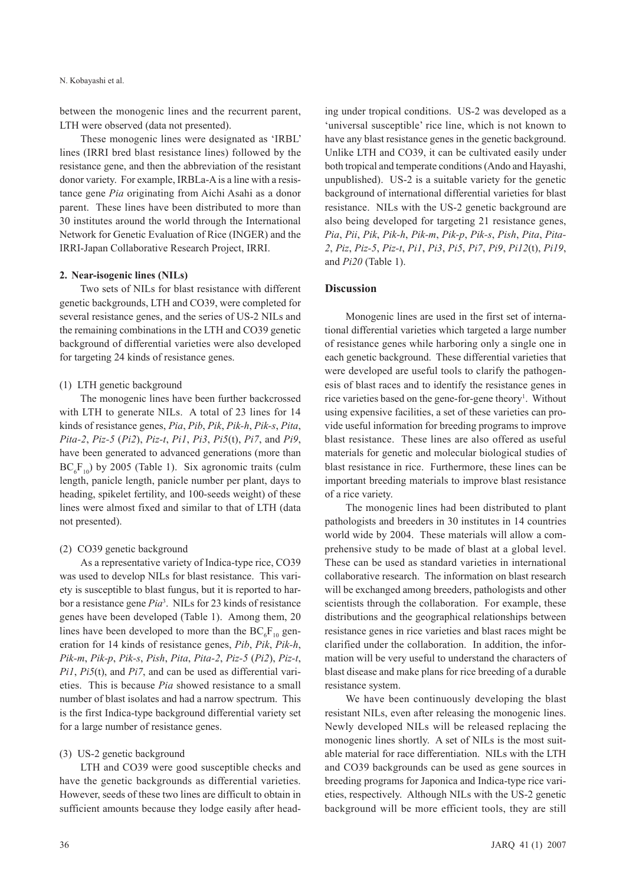between the monogenic lines and the recurrent parent, LTH were observed (data not presented).

These monogenic lines were designated as 'IRBL' lines (IRRI bred blast resistance lines) followed by the resistance gene, and then the abbreviation of the resistant donor variety. For example, IRBLa-Ais a line with a resistance gene *Pia* originating from Aichi Asahi as a donor parent. These lines have been distributed to more than 30 institutes around the world through the International Network for Genetic Evaluation of Rice (INGER) and the IRRI-Japan Collaborative Research Project, IRRI.

## **2. Near-isogenic lines (NILs)**

Two sets of NILs for blast resistance with different genetic backgrounds, LTH and CO39, were completed for several resistance genes, and the series of US-2 NILs and the remaining combinations in the LTH and CO39 genetic background of differential varieties were also developed for targeting 24 kinds of resistance genes.

## (1) LTH genetic background

The monogenic lines have been further backcrossed with LTH to generate NILs. A total of 23 lines for 14 kinds of resistance genes, *Pia*, *Pib*, *Pik*, *Pik-h*, *Pik-s*, *Pita*, *Pita-2*, *Piz-5* (*Pi2*), *Piz-t*, *Pi1*, *Pi3*, *Pi5*(t), *Pi7*, and *Pi9*, have been generated to advanced generations (more than  $BC_6F_{10}$ ) by 2005 (Table 1). Six agronomic traits (culm length, panicle length, panicle number per plant, days to heading, spikelet fertility, and 100-seeds weight) of these lines were almost fixed and similar to that of LTH (data not presented).

### (2) CO39 genetic background

As a representative variety of Indica-type rice, CO39 was used to develop NILs for blast resistance. This variety is susceptible to blast fungus, but it is reported to harbor a resistance gene *Pia*<sup>3</sup> . NILs for 23 kinds of resistance genes have been developed (Table 1). Among them, 20 lines have been developed to more than the  $BC_6F_{10}$  generation for 14 kinds of resistance genes, *Pib*, *Pik*, *Pik-h*, *Pik-m*, *Pik-p*, *Pik-s*, *Pish*, *Pita*, *Pita-2*, *Piz-5* (*Pi2*), *Piz-t*, *Pi1*, *Pi5*(t), and *Pi7*, and can be used as differential varieties. This is because *Pia* showed resistance to a small number of blast isolates and had a narrow spectrum. This is the first Indica-type background differential variety set for a large number of resistance genes.

## (3) US-2 genetic background

LTH and CO39 were good susceptible checks and have the genetic backgrounds as differential varieties. However, seeds of these two lines are difficult to obtain in sufficient amounts because they lodge easily after head-

ing under tropical conditions. US-2 was developed as a 'universal susceptible' rice line, which is not known to have any blast resistance genes in the genetic background. Unlike LTH and CO39, it can be cultivated easily under both tropical and temperate conditions(Ando and Hayashi, unpublished). US-2 is a suitable variety for the genetic background of international differential varieties for blast resistance. NILs with the US-2 genetic background are also being developed for targeting 21 resistance genes, *Pia*, *Pii*, *Pik*, *Pik-h*, *Pik-m*, *Pik-p*, *Pik-s*, *Pish*, *Pita*, *Pita-2*, *Piz*, *Piz-5*, *Piz-t*, *Pi1*, *Pi3*, *Pi5*, *Pi7*, *Pi9*, *Pi12*(t), *Pi19*, and *Pi20* (Table 1).

## **Discussion**

Monogenic lines are used in the first set of international differential varieties which targeted a large number of resistance genes while harboring only a single one in each genetic background. These differential varieties that were developed are useful tools to clarify the pathogenesis of blast races and to identify the resistance genes in rice varieties based on the gene-for-gene theory<sup>1</sup>. Without using expensive facilities, a set of these varieties can provide useful information for breeding programs to improve blast resistance. These lines are also offered as useful materials for genetic and molecular biological studies of blast resistance in rice. Furthermore, these lines can be important breeding materials to improve blast resistance of a rice variety.

The monogenic lines had been distributed to plant pathologists and breeders in 30 institutes in 14 countries world wide by 2004. These materials will allow a comprehensive study to be made of blast at a global level. These can be used as standard varieties in international collaborative research. The information on blast research will be exchanged among breeders, pathologists and other scientists through the collaboration. For example, these distributions and the geographical relationships between resistance genes in rice varieties and blast races might be clarified under the collaboration. In addition, the information will be very useful to understand the characters of blast disease and make plans for rice breeding of a durable resistance system.

We have been continuously developing the blast resistant NILs, even after releasing the monogenic lines. Newly developed NILs will be released replacing the monogenic lines shortly. A set of NILs is the most suitable material for race differentiation. NILs with the LTH and CO39 backgrounds can be used as gene sources in breeding programs for Japonica and Indica-type rice varieties, respectively. Although NILs with the US-2 genetic background will be more efficient tools, they are still